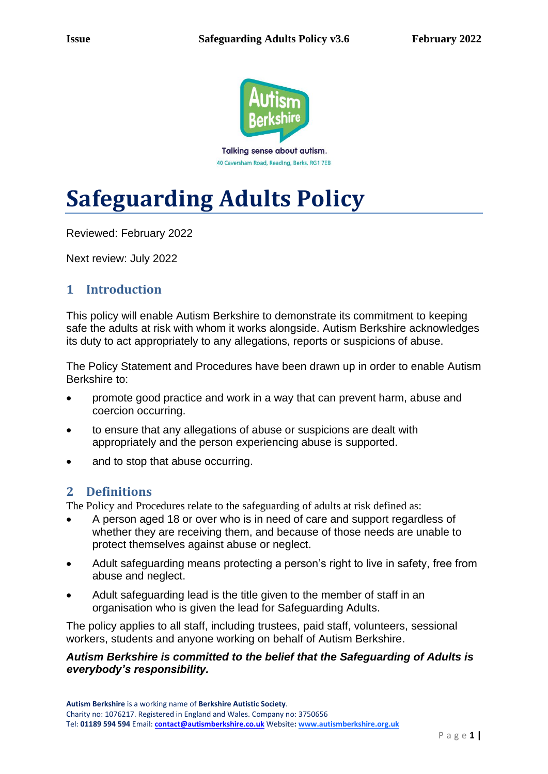

40 Caversham Road, Reading, Berks, RG1 7EB

# **Safeguarding Adults Policy**

Reviewed: February 2022

Next review: July 2022

# **1 Introduction**

This policy will enable Autism Berkshire to demonstrate its commitment to keeping safe the adults at risk with whom it works alongside. Autism Berkshire acknowledges its duty to act appropriately to any allegations, reports or suspicions of abuse.

The Policy Statement and Procedures have been drawn up in order to enable Autism Berkshire to:

- promote good practice and work in a way that can prevent harm, abuse and coercion occurring.
- to ensure that any allegations of abuse or suspicions are dealt with appropriately and the person experiencing abuse is supported.
- and to stop that abuse occurring.

## **2 Definitions**

The Policy and Procedures relate to the safeguarding of adults at risk defined as:

- A person aged 18 or over who is in need of care and support regardless of whether they are receiving them, and because of those needs are unable to protect themselves against abuse or neglect.
- Adult safeguarding means protecting a person's right to live in safety, free from abuse and neglect.
- Adult safeguarding lead is the title given to the member of staff in an organisation who is given the lead for Safeguarding Adults.

The policy applies to all staff, including trustees, paid staff, volunteers, sessional workers, students and anyone working on behalf of Autism Berkshire.

#### *Autism Berkshire is committed to the belief that the Safeguarding of Adults is everybody's responsibility.*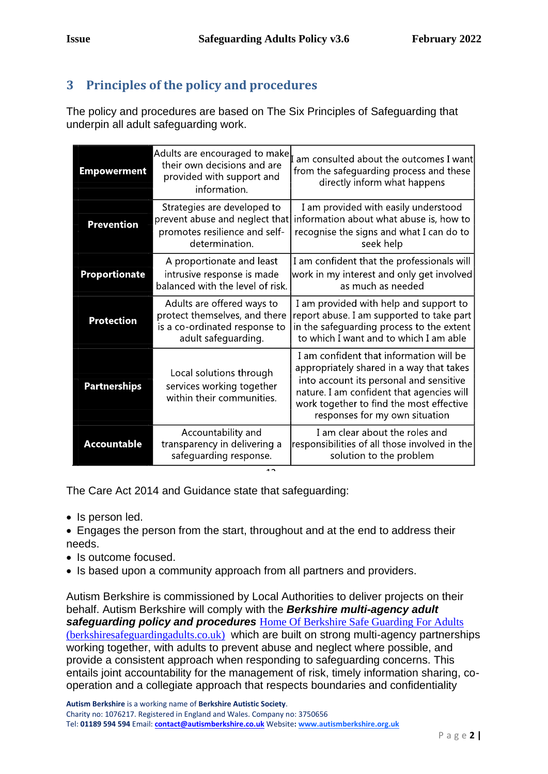# **3 Principles of the policy and procedures**

The policy and procedures are based on The Six Principles of Safeguarding that underpin all adult safeguarding work.

| <b>Empowerment</b>   | Adults are encouraged to make<br>their own decisions and are<br>provided with support and<br>information.           | am consulted about the outcomes I want<br>from the safeguarding process and these<br>directly inform what happens                                                                                                                                         |
|----------------------|---------------------------------------------------------------------------------------------------------------------|-----------------------------------------------------------------------------------------------------------------------------------------------------------------------------------------------------------------------------------------------------------|
| <b>Prevention</b>    | Strategies are developed to<br>prevent abuse and neglect that<br>promotes resilience and self-<br>determination.    | I am provided with easily understood<br>information about what abuse is, how to<br>recognise the signs and what I can do to<br>seek help                                                                                                                  |
| <b>Proportionate</b> | A proportionate and least<br>intrusive response is made<br>balanced with the level of risk.                         | I am confident that the professionals will<br>work in my interest and only get involved<br>as much as needed                                                                                                                                              |
| <b>Protection</b>    | Adults are offered ways to<br>protect themselves, and there<br>is a co-ordinated response to<br>adult safeguarding. | I am provided with help and support to<br>report abuse. I am supported to take part<br>in the safeguarding process to the extent<br>to which I want and to which I am able                                                                                |
| <b>Partnerships</b>  | Local solutions through<br>services working together<br>within their communities.                                   | I am confident that information will be<br>appropriately shared in a way that takes<br>into account its personal and sensitive<br>nature. I am confident that agencies will<br>work together to find the most effective<br>responses for my own situation |
| <b>Accountable</b>   | Accountability and<br>transparency in delivering a<br>safeguarding response.<br>1 n                                 | I am clear about the roles and<br>responsibilities of all those involved in the<br>solution to the problem                                                                                                                                                |

The Care Act 2014 and Guidance state that safeguarding:

- Is person led.
- Engages the person from the start, throughout and at the end to address their needs.
- Is outcome focused.
- Is based upon a community approach from all partners and providers.

Autism Berkshire is commissioned by Local Authorities to deliver projects on their behalf. Autism Berkshire will comply with the *Berkshire multi-agency adult safeguarding policy and procedures* [Home Of Berkshire Safe Guarding For Adults](https://www.berkshiresafeguardingadults.co.uk/)  [\(berkshiresafeguardingadults.co.uk\)](https://www.berkshiresafeguardingadults.co.uk/) which are built on strong multi-agency partnerships working together, with adults to prevent abuse and neglect where possible, and provide a consistent approach when responding to safeguarding concerns. This entails joint accountability for the management of risk, timely information sharing, cooperation and a collegiate approach that respects boundaries and confidentiality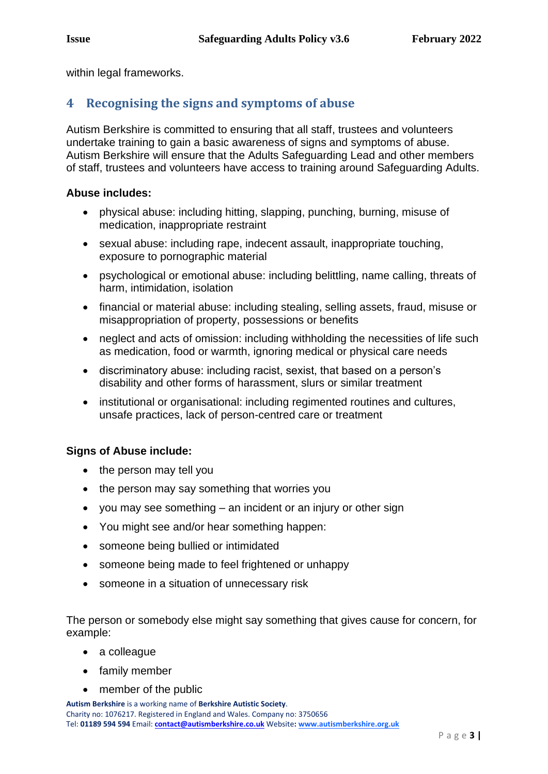within legal frameworks.

## **4 Recognising the signs and symptoms of abuse**

Autism Berkshire is committed to ensuring that all staff, trustees and volunteers undertake training to gain a basic awareness of signs and symptoms of abuse. Autism Berkshire will ensure that the Adults Safeguarding Lead and other members of staff, trustees and volunteers have access to training around Safeguarding Adults.

#### **Abuse includes:**

- physical abuse: including hitting, slapping, punching, burning, misuse of medication, inappropriate restraint
- sexual abuse: including rape, indecent assault, inappropriate touching, exposure to pornographic material
- psychological or emotional abuse: including belittling, name calling, threats of harm, intimidation, isolation
- financial or material abuse: including stealing, selling assets, fraud, misuse or misappropriation of property, possessions or benefits
- neglect and acts of omission: including withholding the necessities of life such as medication, food or warmth, ignoring medical or physical care needs
- discriminatory abuse: including racist, sexist, that based on a person's disability and other forms of harassment, slurs or similar treatment
- institutional or organisational: including regimented routines and cultures, unsafe practices, lack of person-centred care or treatment

#### **Signs of Abuse include:**

- the person may tell you
- the person may say something that worries you
- you may see something an incident or an injury or other sign
- You might see and/or hear something happen:
- someone being bullied or intimidated
- someone being made to feel frightened or unhappy
- someone in a situation of unnecessary risk

The person or somebody else might say something that gives cause for concern, for example:

- a colleague
- family member
- member of the public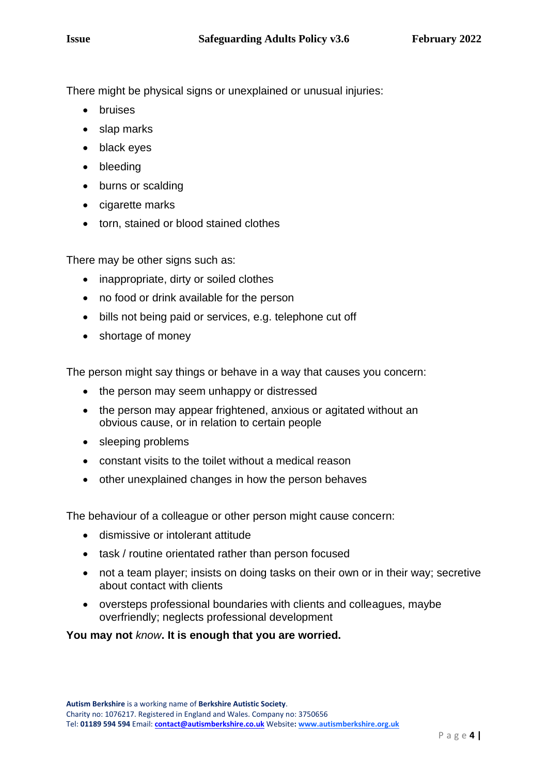There might be physical signs or unexplained or unusual injuries:

- bruises
- slap marks
- black eyes
- bleeding
- burns or scalding
- cigarette marks
- torn, stained or blood stained clothes

There may be other signs such as:

- inappropriate, dirty or soiled clothes
- no food or drink available for the person
- bills not being paid or services, e.g. telephone cut off
- shortage of money

The person might say things or behave in a way that causes you concern:

- the person may seem unhappy or distressed
- the person may appear frightened, anxious or agitated without an obvious cause, or in relation to certain people
- sleeping problems
- constant visits to the toilet without a medical reason
- other unexplained changes in how the person behaves

The behaviour of a colleague or other person might cause concern:

- dismissive or intolerant attitude
- task / routine orientated rather than person focused
- not a team player; insists on doing tasks on their own or in their way; secretive about contact with clients
- oversteps professional boundaries with clients and colleagues, maybe overfriendly; neglects professional development

#### **You may not** *know***. It is enough that you are worried.**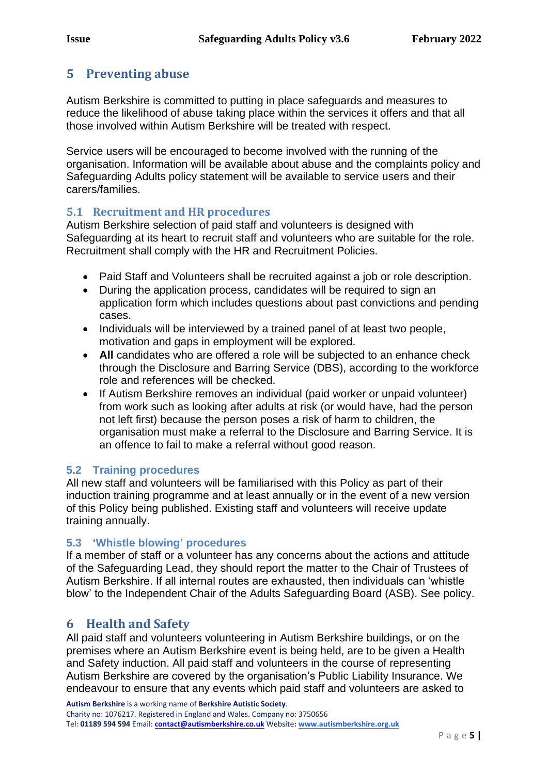# **5 Preventing abuse**

Autism Berkshire is committed to putting in place safeguards and measures to reduce the likelihood of abuse taking place within the services it offers and that all those involved within Autism Berkshire will be treated with respect.

Service users will be encouraged to become involved with the running of the organisation. Information will be available about abuse and the complaints policy and Safeguarding Adults policy statement will be available to service users and their carers/families.

#### **5.1 Recruitment and HR procedures**

Autism Berkshire selection of paid staff and volunteers is designed with Safeguarding at its heart to recruit staff and volunteers who are suitable for the role. Recruitment shall comply with the HR and Recruitment Policies.

- Paid Staff and Volunteers shall be recruited against a job or role description.
- During the application process, candidates will be required to sign an application form which includes questions about past convictions and pending cases.
- Individuals will be interviewed by a trained panel of at least two people, motivation and gaps in employment will be explored.
- **All** candidates who are offered a role will be subjected to an enhance check through the Disclosure and Barring Service (DBS), according to the workforce role and references will be checked.
- If Autism Berkshire removes an individual (paid worker or unpaid volunteer) from work such as looking after adults at risk (or would have, had the person not left first) because the person poses a risk of harm to children, the organisation must make a referral to the Disclosure and Barring Service. It is an offence to fail to make a referral without good reason.

#### **5.2 Training procedures**

All new staff and volunteers will be familiarised with this Policy as part of their induction training programme and at least annually or in the event of a new version of this Policy being published. Existing staff and volunteers will receive update training annually.

#### **5.3 'Whistle blowing' procedures**

If a member of staff or a volunteer has any concerns about the actions and attitude of the Safeguarding Lead, they should report the matter to the Chair of Trustees of Autism Berkshire. If all internal routes are exhausted, then individuals can 'whistle blow' to the Independent Chair of the Adults Safeguarding Board (ASB). See policy.

## **6 Health and Safety**

All paid staff and volunteers volunteering in Autism Berkshire buildings, or on the premises where an Autism Berkshire event is being held, are to be given a Health and Safety induction. All paid staff and volunteers in the course of representing Autism Berkshire are covered by the organisation's Public Liability Insurance. We endeavour to ensure that any events which paid staff and volunteers are asked to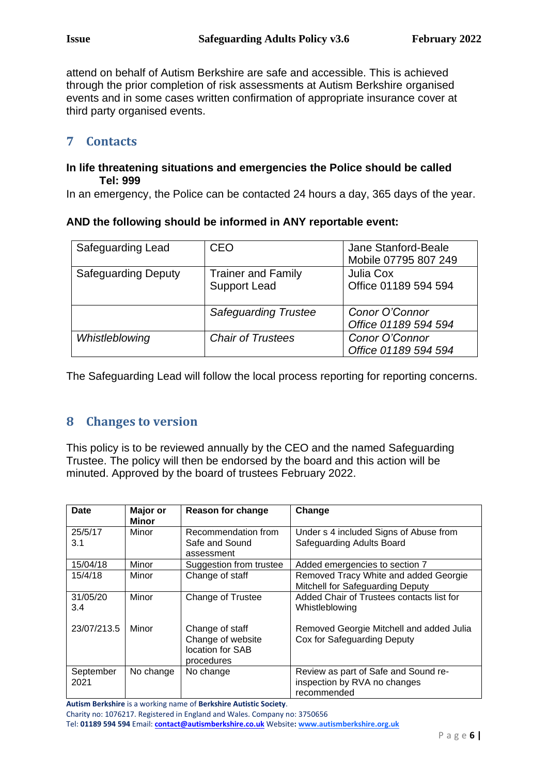attend on behalf of Autism Berkshire are safe and accessible. This is achieved through the prior completion of risk assessments at Autism Berkshire organised events and in some cases written confirmation of appropriate insurance cover at third party organised events.

## **7 Contacts**

#### **In life threatening situations and emergencies the Police should be called Tel: 999**

In an emergency, the Police can be contacted 24 hours a day, 365 days of the year.

#### **AND the following should be informed in ANY reportable event:**

| Safeguarding Lead          | CEO                                              | Jane Stanford-Beale<br>Mobile 07795 807 249 |
|----------------------------|--------------------------------------------------|---------------------------------------------|
| <b>Safeguarding Deputy</b> | <b>Trainer and Family</b><br><b>Support Lead</b> | Julia Cox<br>Office 01189 594 594           |
|                            | <b>Safeguarding Trustee</b>                      | Conor O'Connor<br>Office 01189 594 594      |
| Whistleblowing             | <b>Chair of Trustees</b>                         | Conor O'Connor<br>Office 01189 594 594      |

The Safeguarding Lead will follow the local process reporting for reporting concerns.

## **8 Changes to version**

This policy is to be reviewed annually by the CEO and the named Safeguarding Trustee. The policy will then be endorsed by the board and this action will be minuted. Approved by the board of trustees February 2022.

| <b>Date</b>       | <b>Major or</b><br><b>Minor</b> | <b>Reason for change</b>                                               | Change                                                                              |
|-------------------|---------------------------------|------------------------------------------------------------------------|-------------------------------------------------------------------------------------|
| 25/5/17<br>3.1    | Minor                           | Recommendation from<br>Safe and Sound<br>assessment                    | Under s 4 included Signs of Abuse from<br>Safeguarding Adults Board                 |
| 15/04/18          | Minor                           | Suggestion from trustee                                                | Added emergencies to section 7                                                      |
| 15/4/18           | Minor                           | Change of staff                                                        | Removed Tracy White and added Georgie<br>Mitchell for Safeguarding Deputy           |
| 31/05/20<br>3.4   | Minor                           | Change of Trustee                                                      | Added Chair of Trustees contacts list for<br>Whistleblowing                         |
| 23/07/213.5       | Minor                           | Change of staff<br>Change of website<br>location for SAB<br>procedures | Removed Georgie Mitchell and added Julia<br>Cox for Safeguarding Deputy             |
| September<br>2021 | No change                       | No change                                                              | Review as part of Safe and Sound re-<br>inspection by RVA no changes<br>recommended |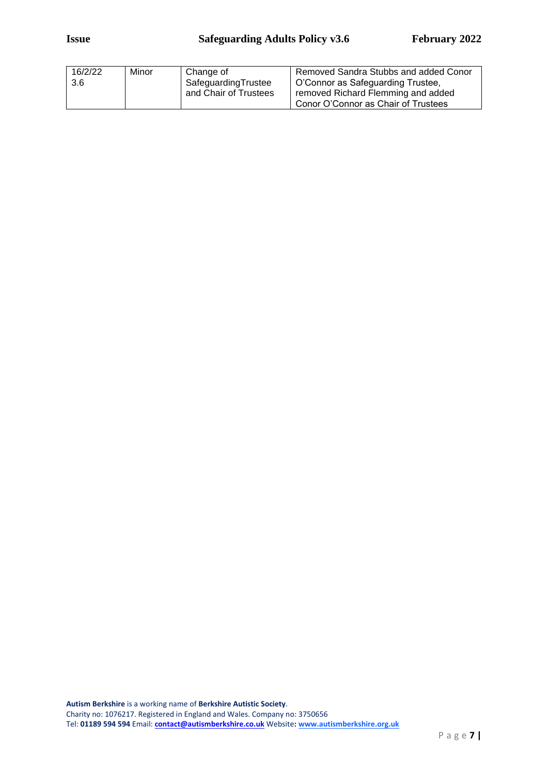| 16/2/22 | Minor | Change of             | Removed Sandra Stubbs and added Conor |
|---------|-------|-----------------------|---------------------------------------|
| 3.6     |       | SafeguardingTrustee   | O'Connor as Safeguarding Trustee,     |
|         |       | and Chair of Trustees | removed Richard Flemming and added    |
|         |       |                       | Conor O'Connor as Chair of Trustees   |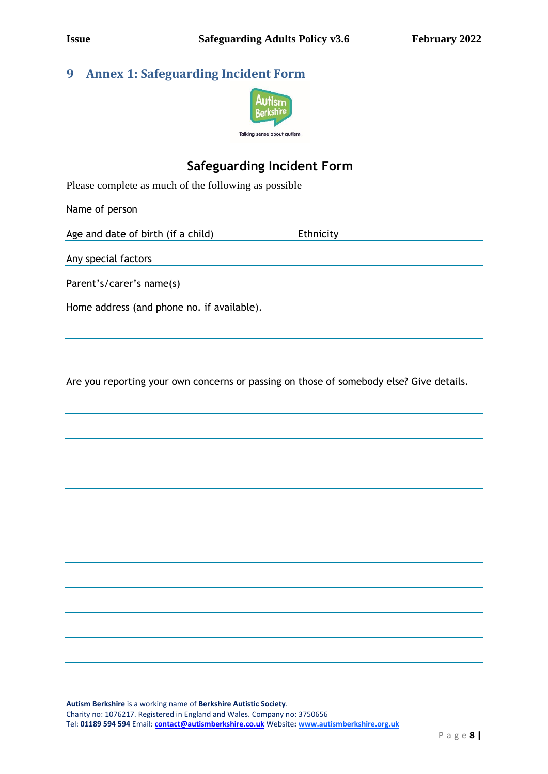# **9 Annex 1: Safeguarding Incident Form**



# **Safeguarding Incident Form**

Please complete as much of the following as possible

Name of person Age and date of birth (if a child) Ethnicity Any special factors Parent's/carer's name(s) Home address (and phone no. if available).

Are you reporting your own concerns or passing on those of somebody else? Give details.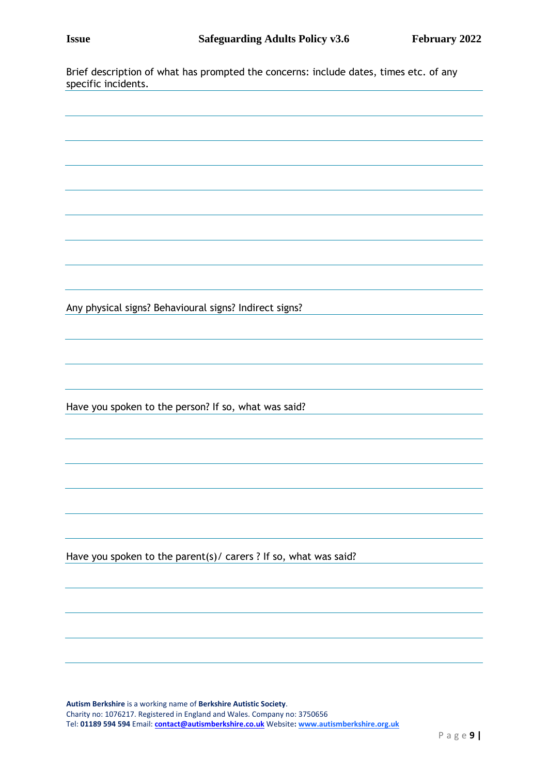Brief description of what has prompted the concerns: include dates, times etc. of any specific incidents.

Any physical signs? Behavioural signs? Indirect signs? Have you spoken to the person? If so, what was said? Have you spoken to the parent(s)/ carers ? If so, what was said?